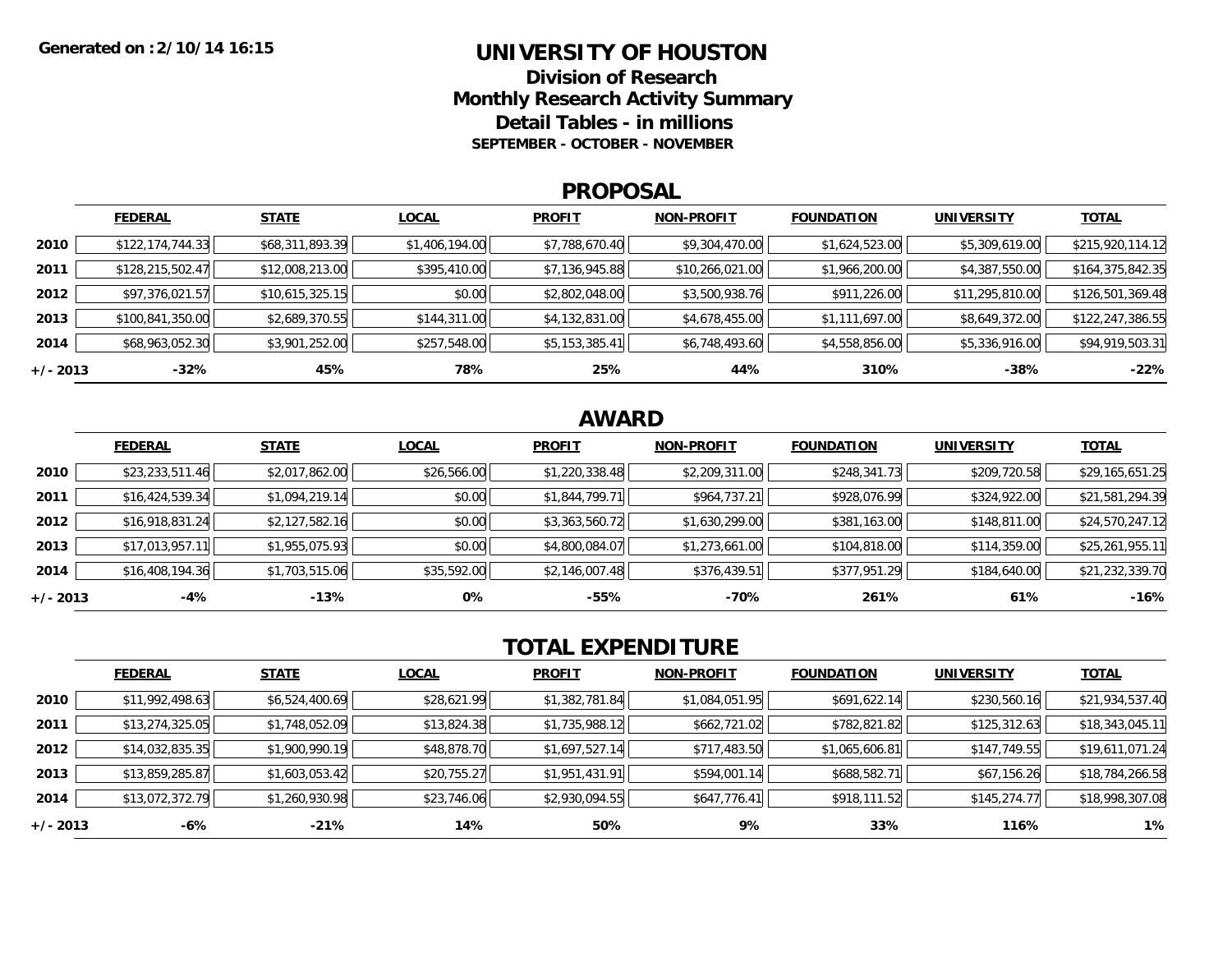### **UNIVERSITY OF HOUSTON**

**Division of ResearchMonthly Research Activity Summary Detail Tables - in millions SEPTEMBER - OCTOBER - NOVEMBER**

#### **PROPOSAL**

|            | <b>FEDERAL</b>     | <b>STATE</b>    | <b>LOCAL</b>   | <b>PROFIT</b>  | <b>NON-PROFIT</b> | <b>FOUNDATION</b> | <b>UNIVERSITY</b> | <b>TOTAL</b>     |
|------------|--------------------|-----------------|----------------|----------------|-------------------|-------------------|-------------------|------------------|
| 2010       | \$122, 174, 744.33 | \$68,311,893.39 | \$1,406,194.00 | \$7,788,670.40 | \$9,304,470.00    | \$1,624,523.00    | \$5,309,619.00    | \$215,920,114.12 |
| 2011       | \$128,215,502.47   | \$12,008,213.00 | \$395,410.00   | \$7,136,945.88 | \$10,266,021.00   | \$1,966,200.00    | \$4,387,550.00    | \$164,375,842.35 |
| 2012       | \$97,376,021.57    | \$10,615,325.15 | \$0.00         | \$2,802,048.00 | \$3,500,938.76    | \$911,226.00      | \$11,295,810.00   | \$126,501,369.48 |
| 2013       | \$100,841,350.00   | \$2,689,370.55  | \$144,311.00   | \$4,132,831.00 | \$4,678,455.00    | \$1,111,697.00    | \$8,649,372.00    | \$122,247,386.55 |
| 2014       | \$68,963,052.30    | \$3,901,252.00  | \$257,548.00   | \$5,153,385.41 | \$6,748,493.60    | \$4,558,856.00    | \$5,336,916.00    | \$94,919,503.31  |
| $+/- 2013$ | $-32%$             | 45%             | 78%            | 25%            | 44%               | 310%              | $-38%$            | $-22%$           |

## **AWARD**

|          | <b>FEDERAL</b>  | <b>STATE</b>   | <b>LOCAL</b> | <b>PROFIT</b>  | <b>NON-PROFIT</b> | <b>FOUNDATION</b> | <b>UNIVERSITY</b> | <b>TOTAL</b>    |
|----------|-----------------|----------------|--------------|----------------|-------------------|-------------------|-------------------|-----------------|
| 2010     | \$23,233,511.46 | \$2,017,862.00 | \$26,566.00  | \$1,220,338.48 | \$2,209,311.00    | \$248,341.73      | \$209,720.58      | \$29,165,651.25 |
| 2011     | \$16,424,539.34 | \$1,094,219.14 | \$0.00       | \$1,844,799.71 | \$964,737.21      | \$928,076.99      | \$324,922.00      | \$21,581,294.39 |
| 2012     | \$16,918,831.24 | \$2,127,582.16 | \$0.00       | \$3,363,560.72 | \$1,630,299.00    | \$381,163.00      | \$148,811.00      | \$24,570,247.12 |
| 2013     | \$17,013,957.11 | \$1,955,075.93 | \$0.00       | \$4,800,084.07 | \$1,273,661.00    | \$104,818.00      | \$114,359.00      | \$25,261,955.11 |
| 2014     | \$16,408,194.36 | \$1,703,515.06 | \$35,592.00  | \$2,146,007.48 | \$376,439.51      | \$377,951.29      | \$184,640.00      | \$21,232,339.70 |
| +/- 2013 | $-4%$           | $-13%$         | 0%           | $-55%$         | -70%              | 261%              | 61%               | $-16%$          |

# **TOTAL EXPENDITURE**

|          | <b>FEDERAL</b>  | <b>STATE</b>   | <b>LOCAL</b> | <b>PROFIT</b>  | <b>NON-PROFIT</b> | <b>FOUNDATION</b> | <b>UNIVERSITY</b> | <b>TOTAL</b>    |
|----------|-----------------|----------------|--------------|----------------|-------------------|-------------------|-------------------|-----------------|
| 2010     | \$11,992,498.63 | \$6,524,400.69 | \$28,621.99  | \$1,382,781.84 | \$1,084,051.95    | \$691,622.14      | \$230,560.16      | \$21,934,537.40 |
| 2011     | \$13,274,325.05 | \$1,748,052.09 | \$13,824.38  | \$1,735,988.12 | \$662,721.02      | \$782,821.82      | \$125,312.63      | \$18,343,045.11 |
| 2012     | \$14,032,835.35 | \$1,900,990.19 | \$48,878.70  | \$1,697,527.14 | \$717,483.50      | \$1,065,606.81    | \$147,749.55      | \$19,611,071.24 |
| 2013     | \$13,859,285.87 | \$1,603,053.42 | \$20,755.27  | \$1,951,431.91 | \$594,001.14      | \$688,582.71      | \$67,156.26       | \$18,784,266.58 |
| 2014     | \$13,072,372.79 | \$1,260,930.98 | \$23,746.06  | \$2,930,094.55 | \$647,776.41      | \$918,111.52      | \$145,274.77      | \$18,998,307.08 |
| +/- 2013 | -6%             | $-21%$         | 14%          | 50%            | 9%                | 33%               | 116%              | 1%              |